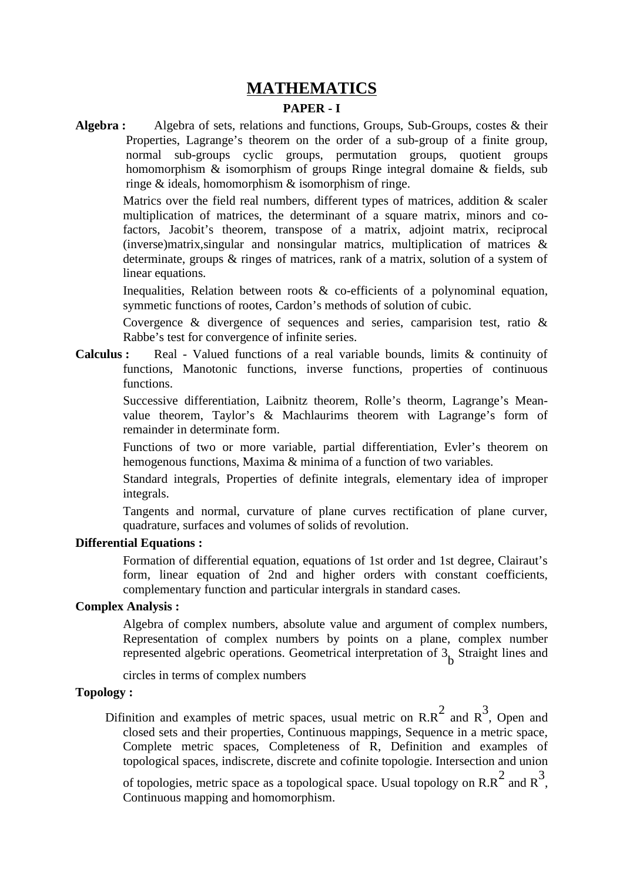## **MATHEMATICS**

### **PAPER - I**

**Algebra :** Algebra of sets, relations and functions, Groups, Sub-Groups, costes & their Properties, Lagrange's theorem on the order of a sub-group of a finite group, normal sub-groups cyclic groups, permutation groups, quotient groups homomorphism & isomorphism of groups Ringe integral domaine & fields, sub ringe & ideals, homomorphism & isomorphism of ringe.

> Matrics over the field real numbers, different types of matrices, addition & scaler multiplication of matrices, the determinant of a square matrix, minors and cofactors, Jacobit's theorem, transpose of a matrix, adjoint matrix, reciprocal (inverse)matrix,singular and nonsingular matrics, multiplication of matrices & determinate, groups & ringes of matrices, rank of a matrix, solution of a system of linear equations.

> Inequalities, Relation between roots & co-efficients of a polynominal equation, symmetic functions of rootes, Cardon's methods of solution of cubic.

> Covergence & divergence of sequences and series, camparision test, ratio & Rabbe's test for convergence of infinite series.

**Calculus :** Real - Valued functions of a real variable bounds, limits & continuity of functions, Manotonic functions, inverse functions, properties of continuous functions.

Successive differentiation, Laibnitz theorem, Rolle's theorm, Lagrange's Meanvalue theorem, Taylor's & Machlaurims theorem with Lagrange's form of remainder in determinate form.

Functions of two or more variable, partial differentiation, Evler's theorem on hemogenous functions, Maxima & minima of a function of two variables.

Standard integrals, Properties of definite integrals, elementary idea of improper integrals.

Tangents and normal, curvature of plane curves rectification of plane curver, quadrature, surfaces and volumes of solids of revolution.

#### **Differential Equations :**

Formation of differential equation, equations of 1st order and 1st degree, Clairaut's form, linear equation of 2nd and higher orders with constant coefficients, complementary function and particular intergrals in standard cases.

#### **Complex Analysis :**

Algebra of complex numbers, absolute value and argument of complex numbers, Representation of complex numbers by points on a plane, complex number represented algebric operations. Geometrical interpretation of  $3_{\mathbf{b}}^{\mathbf{}}$  Straight lines and

circles in terms of complex numbers

#### **Topology :**

Difinition and examples of metric spaces, usual metric on  $\mathtt{R}.\mathtt{R}^2$  and  $\mathtt{R}^3$ , Open and closed sets and their properties, Continuous mappings, Sequence in a metric space, Complete metric spaces, Completeness of R, Definition and examples of topological spaces, indiscrete, discrete and cofinite topologie. Intersection and union

of topologies, metric space as a topological space. Usual topology on R.R  $^2$  and R  $^3$  , Continuous mapping and homomorphism.